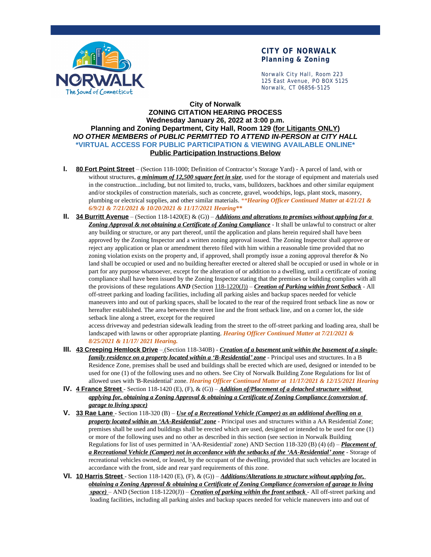

## **CITY OF NORWALK Planning & Zoning**

Norwalk City Hall, Room 223 125 East Avenue, PO BOX 5125 Norwalk, CT 06856-5125

## **City of Norwalk ZONING CITATION HEARING PROCESS Wednesday January 26, 2022 at 3:00 p.m. Planning and Zoning Department, City Hall, Room 129 (for Litigants ONLY)** *NO OTHER MEMBERS of PUBLIC PERMITTED TO ATTEND IN-PERSON at CITY HALL* **\*VIRTUAL ACCESS FOR PUBLIC PARTICIPATION & VIEWING AVAILABLE ONLINE\* Public Participation Instructions Below**

- **I. 80 Fort Point Street** (Section 118-1000; Definition of Contractor's Storage Yard) A parcel of land, with or without structures, *a minimum of 12,500 square feet in size*, used for the storage of equipment and materials used in the construction...including, but not limited to, trucks, vans, bulldozers, backhoes and other similar equipment and/or stockpiles of construction materials, such as concrete, gravel, woodchips, logs, plant stock, masonry, plumbing or electrical supplies, and other similar materials. *\*\*Hearing Officer Continued Matter at 4/21/21 & 6/9/21 & 7/21/2021 & 10/20/2021 & 11/17/2021 Hearing\*\**
- **II. 34 Burritt Avenue** (Section 118-1420(E) & (G)) *Additions and alterations to premises without applying for a*  **Zoning Approval & not obtaining a Certificate of Zoning Compliance** - It shall be unlawful to construct or alter any building or structure, or any part thereof, until the application and plans herein required shall have been approved by the Zoning Inspector and a written zoning approval issued. The Zoning Inspector shall approve or reject any application or plan or amendment thereto filed with him within a reasonable time provided that no zoning violation exists on the property and, if approved, shall promptly issue a zoning approval therefor & No land shall be occupied or used and no building hereafter erected or altered shall be occupied or used in whole or in part for any purpose whatsoever, except for the alteration of or addition to a dwelling, until a certificate of zoning compliance shall have been issued by the Zoning Inspector stating that the premises or building complies with all the provisions of these regulations *AND* (Section 118-1220(J)) – *Creation of Parking within front Setback* - All off-street parking and loading facilities, including all parking aisles and backup spaces needed for vehicle maneuvers into and out of parking spaces, shall be located to the rear of the required front setback line as now or hereafter established. The area between the street line and the front setback line, and on a corner lot, the side setback line along a street, except for the required

access driveway and pedestrian sidewalk leading from the street to the off-street parking and loading area, shall be landscaped with lawns or other appropriate planting. *Hearing Officer Continued Matter at 7/21/2021 & 8/25/2021 & 11/17/ 2021 Hearing.*

- **III. 43 Creeping Hemlock Drive** (Section 118-340B) *Creation of a basement unit within the basement of a singlefamily residence on a property located within a 'B-Residential' zone* - Principal uses and structures. In a B Residence Zone, premises shall be used and buildings shall be erected which are used, designed or intended to be used for one (1) of the following uses and no others. See City of Norwalk Building Zone Regulations for list of allowed uses with 'B-Residential' zone. *Hearing Officer Continued Matter at 11/17/2021 & 12/15/2021 Hearing*
- **IV. 4 France Street**  Section 118-1420 (E), (F), & (G)) *Addition of/Placement of a detached structure without applying for, obtaining a Zoning Approval & obtaining a Certificate of Zoning Compliance (conversion of garage to living space)*
- **V. 33 Rae Lane**  Section 118-320 (B) *Use of a Recreational Vehicle (Camper) as an additional dwelling on a property located within an 'AA-Residential' zone* - Principal uses and structures within a AA Residential Zone; premises shall be used and buildings shall be erected which are used, designed or intended to be used for one (1) or more of the following uses and no other as described in this section (see section in Norwalk Building Regulations for list of uses permitted in 'AA-Residential' zone) AND Section 118-320 (B) (4) (d) – *Placement of a Recreational Vehicle (Camper) not in accordance with the setbacks of the 'AA-Residential' zone* - Storage of recreational vehicles owned, or leased, by the occupant of the dwelling, provided that such vehicles are located in accordance with the front, side and rear yard requirements of this zone.
- **VI. 10 Harris Street**  Section 118-1420 (E), (F), & (G)) *Additions/Alterations to structure without applying for, obtaining a Zoning Approval & obtaining a Certificate of Zoning Compliance (conversion of garage to living space)* – AND (Section 118-1220(J)) – *Creation of parking within the front setback* - All off-street parking and loading facilities, including all parking aisles and backup spaces needed for vehicle maneuvers into and out of